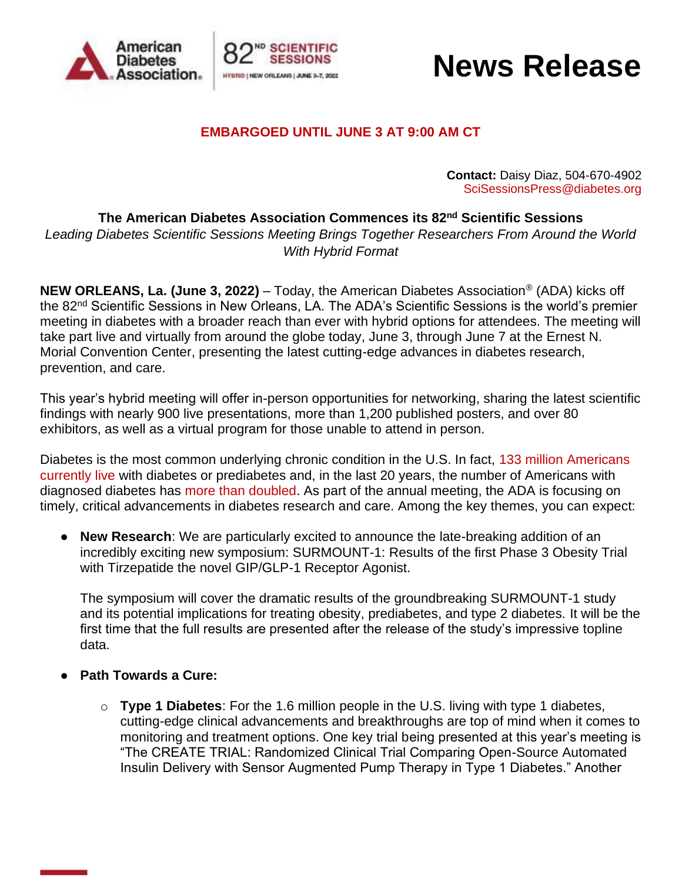



### **News Release**

### **EMBARGOED UNTIL JUNE 3 AT 9:00 AM CT**

**Contact:** Daisy Diaz, 504-670-4902 [SciSessionsPress@diabetes.org](mailto:SciSessionsPress@diabetes.org)

**The American Diabetes Association Commences its 82nd Scientific Sessions** 

*Leading Diabetes Scientific Sessions Meeting Brings Together Researchers From Around the World With Hybrid Format* 

**NEW ORLEANS, La. (June 3, 2022)** – Today, the American Diabetes Association® (ADA) kicks off the 82nd Scientific Sessions in New Orleans, LA. The ADA's Scientific Sessions is the world's premier meeting in diabetes with a broader reach than ever with hybrid options for attendees. The meeting will take part live and virtually from around the globe today, June 3, through June 7 at the Ernest N. Morial Convention Center, presenting the latest cutting-edge advances in diabetes research, prevention, and care.

This year's hybrid meeting will offer in-person opportunities for networking, sharing the latest scientific findings with nearly 900 live presentations, more than 1,200 published posters, and over 80 exhibitors, as well as a virtual program for those unable to attend in person.

Diabetes is the most common underlying chronic condition in the U.S. In fact, [133 million Americans](https://professional.diabetes.org/content/fast-facts-data-and-statistics-about-diabetes)  [currently live](https://professional.diabetes.org/content/fast-facts-data-and-statistics-about-diabetes) with diabetes or prediabetes and, in the last 20 years, the number of Americans with diagnosed diabetes has [more than doubled.](http://www.cdc.gov/diabetes/statistics/slides/long_term_trends.pdf) As part of the annual meeting, the ADA is focusing on timely, critical advancements in diabetes research and care. Among the key themes, you can expect:

● **New Research**: We are particularly excited to announce the late-breaking addition of an incredibly exciting new symposium: SURMOUNT-1: Results of the first Phase 3 Obesity Trial with Tirzepatide the novel GIP/GLP-1 Receptor Agonist.

The symposium will cover the dramatic results of the groundbreaking SURMOUNT-1 study and its potential implications for treating obesity, prediabetes, and type 2 diabetes. It will be the first time that the full results are presented after the release of the study's impressive topline data.

- **Path Towards a Cure:** 
	- o **Type 1 Diabetes**: For the 1.6 million people in the U.S. living with type 1 diabetes, cutting-edge clinical advancements and breakthroughs are top of mind when it comes to monitoring and treatment options. One key trial being presented at this year's meeting is "The CREATE TRIAL: Randomized Clinical Trial Comparing Open-Source Automated Insulin Delivery with Sensor Augmented Pump Therapy in Type 1 Diabetes." Another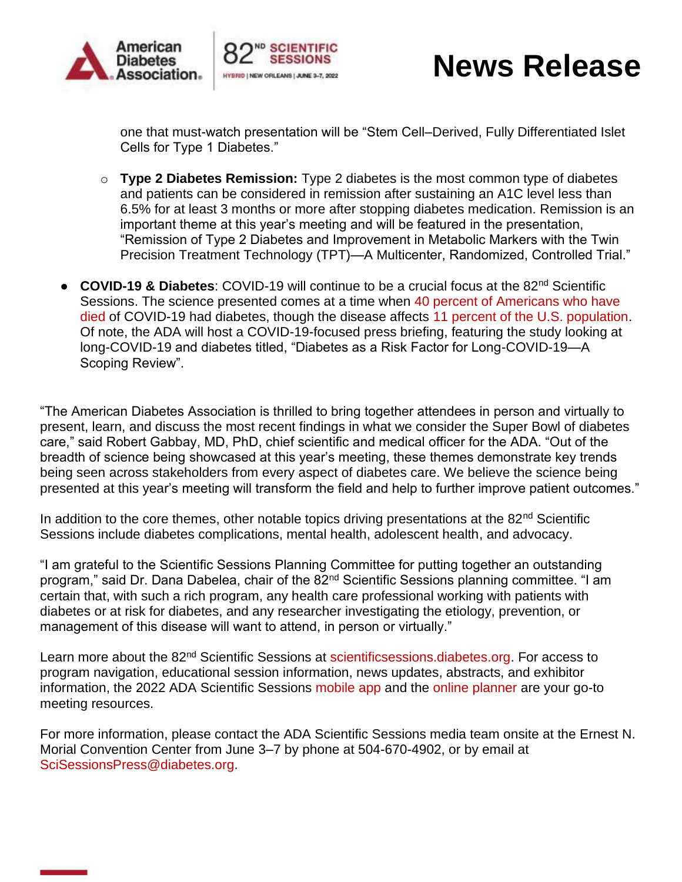



## **News Release**

one that must-watch presentation will be "Stem Cell–Derived, Fully Differentiated Islet Cells for Type 1 Diabetes."

- o **Type 2 Diabetes Remission:** Type 2 diabetes is the most common type of diabetes and patients can be considered in remission after sustaining an A1C level less than 6.5% for at least 3 months or more after stopping diabetes medication. Remission is an important theme at this year's meeting and will be featured in the presentation, "Remission of Type 2 Diabetes and Improvement in Metabolic Markers with the Twin Precision Treatment Technology (TPT)—A Multicenter, Randomized, Controlled Trial."
- **COVID-19 & Diabetes**: COVID-19 will continue to be a crucial focus at the 82nd Scientific Sessions. The science presented comes at a time when [40 percent of Americans who have](https://www.cdc.gov/mmwr/volumes/69/wr/mm6928e1.htm)  [died](https://www.cdc.gov/mmwr/volumes/69/wr/mm6928e1.htm) of COVID-19 had diabetes, though the disease affects [11 percent of the U.S. population.](https://linkprotect.cudasvc.com/url?a=https%3a%2f%2fwww.diabetes.org%2fresources%2fstatistics%2fstatistics-about-diabetes&c=E,1,Xbs09kWCuvhcjcX4_LTw6SpCNqnQf9o5KRWcXja1ccyUgIWG9ohpcpkx51FOtmu7sDLtqBbN_d1M0_MEE-LWkHeH1ph-kEO-m6PxkMafB-o9thSaL72amAIhdA,,&typo=1) Of note, the ADA will host a COVID-19-focused press briefing, featuring the study looking at long-COVID-19 and diabetes titled, "Diabetes as a Risk Factor for Long-COVID-19—A Scoping Review".

"The American Diabetes Association is thrilled to bring together attendees in person and virtually to present, learn, and discuss the most recent findings in what we consider the Super Bowl of diabetes care," said Robert Gabbay, MD, PhD, chief scientific and medical officer for the ADA. "Out of the breadth of science being showcased at this year's meeting, these themes demonstrate key trends being seen across stakeholders from every aspect of diabetes care. We believe the science being presented at this year's meeting will transform the field and help to further improve patient outcomes."

In addition to the core themes, other notable topics driving presentations at the  $82<sup>nd</sup>$  Scientific Sessions include diabetes complications, mental health, adolescent health, and advocacy.

"I am grateful to the Scientific Sessions Planning Committee for putting together an outstanding program," said Dr. Dana Dabelea, chair of the 82<sup>nd</sup> Scientific Sessions planning committee. "I am certain that, with such a rich program, any health care professional working with patients with diabetes or at risk for diabetes, and any researcher investigating the etiology, prevention, or management of this disease will want to attend, in person or virtually."

Learn more about the 82<sup>nd</sup> Scientific Sessions at [scientificsessions.diabetes.org.](https://professional.diabetes.org/scientific-sessions) For access to program navigation, educational session information, news updates, abstracts, and exhibitor information, the 2022 ADA Scientific Sessions [mobile app](https://www.adameetingnews.org/mobile-app/) and the [online planner](https://eppro02.ativ.me/src/EventPilot/php/express/web/planner.php?id=ADA22) are your go-to meeting resources.

For more information, please contact the ADA Scientific Sessions media team onsite at the Ernest N. Morial Convention Center from June 3–7 by phone at 504-670-4902, or by email at [SciSessionsPress@diabetes.org.](mailto:SciSessionsPress@diabetes.org)